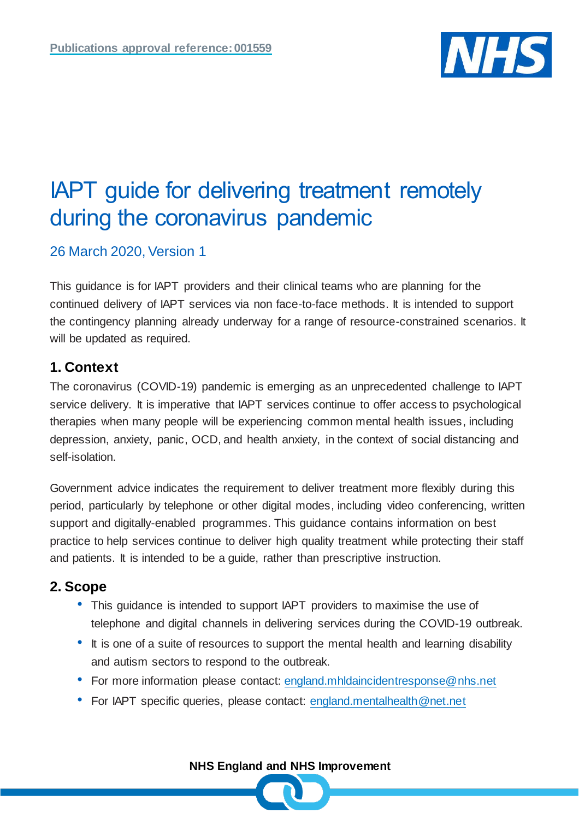

# IAPT guide for delivering treatment remotely during the coronavirus pandemic

26 March 2020, Version 1

This guidance is for IAPT providers and their clinical teams who are planning for the continued delivery of IAPT services via non face-to-face methods. It is intended to support the contingency planning already underway for a range of resource-constrained scenarios. It will be updated as required.

# **1. Context**

The coronavirus (COVID-19) pandemic is emerging as an unprecedented challenge to IAPT service delivery. It is imperative that IAPT services continue to offer access to psychological therapies when many people will be experiencing common mental health issues, including depression, anxiety, panic, OCD, and health anxiety, in the context of social distancing and self-isolation.

Government advice indicates the requirement to deliver treatment more flexibly during this period, particularly by telephone or other digital modes, including video conferencing, written support and digitally-enabled programmes. This guidance contains information on best practice to help services continue to deliver high quality treatment while protecting their staff and patients. It is intended to be a guide, rather than prescriptive instruction.

# **2. Scope**

- This guidance is intended to support IAPT providers to maximise the use of telephone and digital channels in delivering services during the COVID-19 outbreak.
- It is one of a suite of resources to support the mental health and learning disability and autism sectors to respond to the outbreak.
- For more information please contact: [england.mhldaincidentresponse@nhs.net](mailto:england.mhldaincidentresponse@nhs.net)
- For IAPT specific queries, please contact: [england.mentalhealth@net.net](mailto:england.mentalhealth@net.net)

**NHS England and NHS Improvement**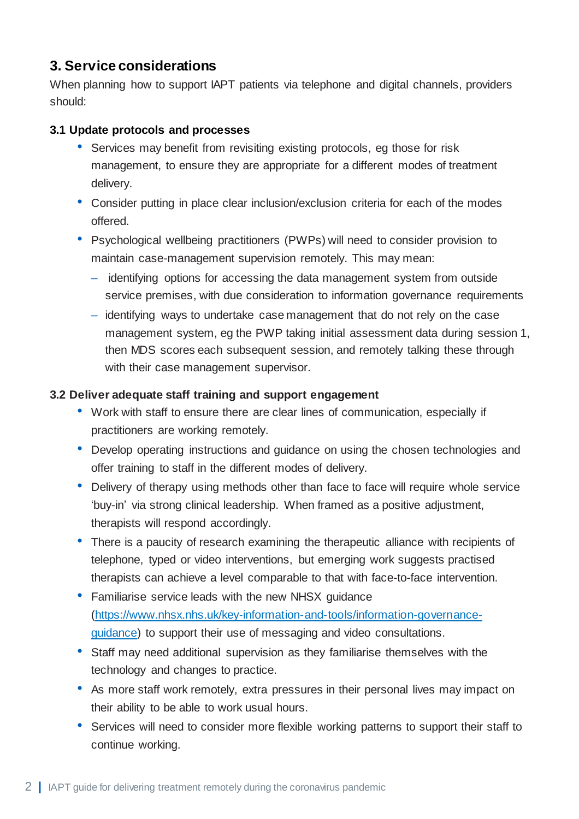# **3. Service considerations**

When planning how to support IAPT patients via telephone and digital channels, providers should:

#### **3.1 Update protocols and processes**

- Services may benefit from revisiting existing protocols, eg those for risk management, to ensure they are appropriate for a different modes of treatment delivery.
- Consider putting in place clear inclusion/exclusion criteria for each of the modes offered.
- Psychological wellbeing practitioners (PWPs) will need to consider provision to maintain case-management supervision remotely. This may mean:
	- identifying options for accessing the data management system from outside service premises, with due consideration to information governance requirements
	- identifying ways to undertake case management that do not rely on the case management system, eg the PWP taking initial assessment data during session 1, then MDS scores each subsequent session, and remotely talking these through with their case management supervisor.

#### **3.2 Deliver adequate staff training and support engagement**

- Work with staff to ensure there are clear lines of communication, especially if practitioners are working remotely.
- Develop operating instructions and guidance on using the chosen technologies and offer training to staff in the different modes of delivery.
- Delivery of therapy using methods other than face to face will require whole service 'buy-in' via strong clinical leadership. When framed as a positive adjustment, therapists will respond accordingly.
- There is a paucity of research examining the therapeutic alliance with recipients of telephone, typed or video interventions, but emerging work suggests practised therapists can achieve a level comparable to that with face-to-face intervention.
- Familiarise service leads with the new NHSX quidance [\(https://www.nhsx.nhs.uk/key-information-and-tools/information-governance](https://www.nhsx.nhs.uk/key-information-and-tools/information-governance-guidance)[guidance\)](https://www.nhsx.nhs.uk/key-information-and-tools/information-governance-guidance) to support their use of messaging and video consultations.
- Staff may need additional supervision as they familiarise themselves with the technology and changes to practice.
- As more staff work remotely, extra pressures in their personal lives may impact on their ability to be able to work usual hours.
- Services will need to consider more flexible working patterns to support their staff to continue working.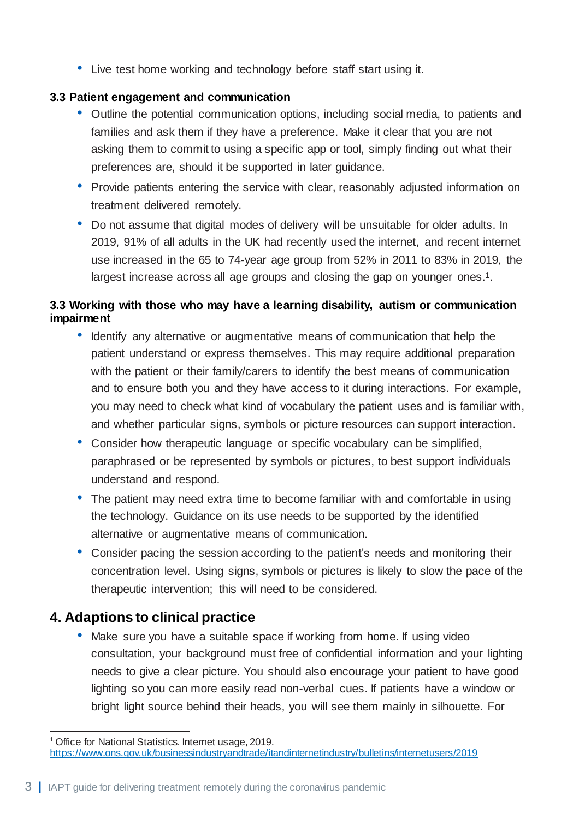• Live test home working and technology before staff start using it.

#### **3.3 Patient engagement and communication**

- Outline the potential communication options, including social media, to patients and families and ask them if they have a preference. Make it clear that you are not asking them to commit to using a specific app or tool, simply finding out what their preferences are, should it be supported in later guidance.
- Provide patients entering the service with clear, reasonably adjusted information on treatment delivered remotely.
- Do not assume that digital modes of delivery will be unsuitable for older adults. In 2019, 91% of all adults in the UK had recently used the internet, and recent internet use increased in the 65 to 74-year age group from 52% in 2011 to 83% in 2019, the largest increase across all age groups and closing the gap on younger ones.<sup>1</sup>.

#### **3.3 Working with those who may have a learning disability, autism or communication impairment**

- Identify any alternative or augmentative means of communication that help the patient understand or express themselves. This may require additional preparation with the patient or their family/carers to identify the best means of communication and to ensure both you and they have access to it during interactions. For example, you may need to check what kind of vocabulary the patient uses and is familiar with, and whether particular signs, symbols or picture resources can support interaction.
- Consider how therapeutic language or specific vocabulary can be simplified, paraphrased or be represented by symbols or pictures, to best support individuals understand and respond.
- The patient may need extra time to become familiar with and comfortable in using the technology. Guidance on its use needs to be supported by the identified alternative or augmentative means of communication.
- Consider pacing the session according to the patient's needs and monitoring their concentration level. Using signs, symbols or pictures is likely to slow the pace of the therapeutic intervention; this will need to be considered.

# **4. Adaptions to clinical practice**

1

Make sure you have a suitable space if working from home. If using video consultation, your background must free of confidential information and your lighting needs to give a clear picture. You should also encourage your patient to have good lighting so you can more easily read non-verbal cues. If patients have a window or bright light source behind their heads, you will see them mainly in silhouette. For

<sup>&</sup>lt;sup>1</sup> Office for National Statistics. Internet usage, 2019. <https://www.ons.gov.uk/businessindustryandtrade/itandinternetindustry/bulletins/internetusers/2019>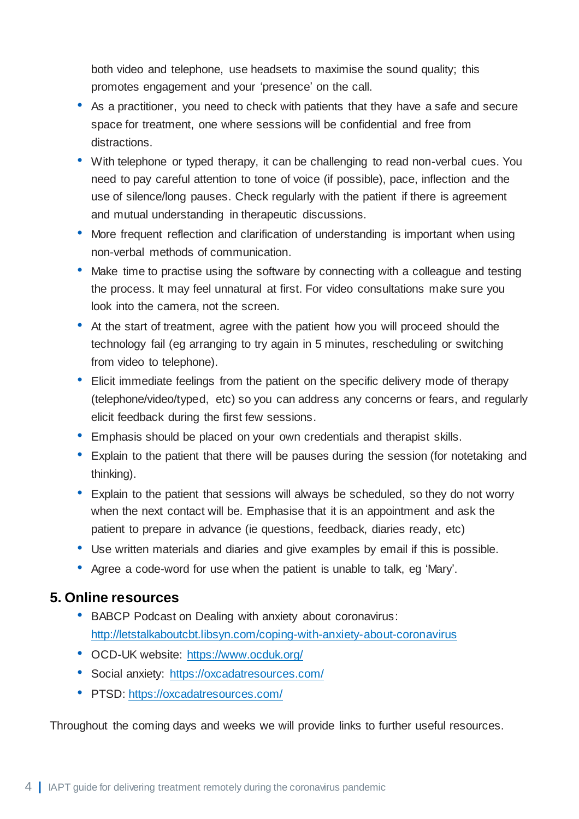both video and telephone, use headsets to maximise the sound quality; this promotes engagement and your 'presence' on the call.

- As a practitioner, you need to check with patients that they have a safe and secure space for treatment, one where sessions will be confidential and free from distractions.
- With telephone or typed therapy, it can be challenging to read non-verbal cues. You need to pay careful attention to tone of voice (if possible), pace, inflection and the use of silence/long pauses. Check regularly with the patient if there is agreement and mutual understanding in therapeutic discussions.
- More frequent reflection and clarification of understanding is important when using non-verbal methods of communication.
- Make time to practise using the software by connecting with a colleague and testing the process. It may feel unnatural at first. For video consultations make sure you look into the camera, not the screen.
- At the start of treatment, agree with the patient how you will proceed should the technology fail (eg arranging to try again in 5 minutes, rescheduling or switching from video to telephone).
- Elicit immediate feelings from the patient on the specific delivery mode of therapy (telephone/video/typed, etc) so you can address any concerns or fears, and regularly elicit feedback during the first few sessions.
- Emphasis should be placed on your own credentials and therapist skills.
- Explain to the patient that there will be pauses during the session (for notetaking and thinking).
- Explain to the patient that sessions will always be scheduled, so they do not worry when the next contact will be. Emphasise that it is an appointment and ask the patient to prepare in advance (ie questions, feedback, diaries ready, etc)
- Use written materials and diaries and give examples by email if this is possible.
- Agree a code-word for use when the patient is unable to talk, eg 'Mary'.

# **5. Online resources**

- BABCP Podcast on Dealing with anxiety about coronavirus: <http://letstalkaboutcbt.libsyn.com/coping-with-anxiety-about-coronavirus>
- OCD-UK website: <https://www.ocduk.org/>
- Social anxiety: <https://oxcadatresources.com/>
- PTSD: <https://oxcadatresources.com/>

Throughout the coming days and weeks we will provide links to further useful resources.